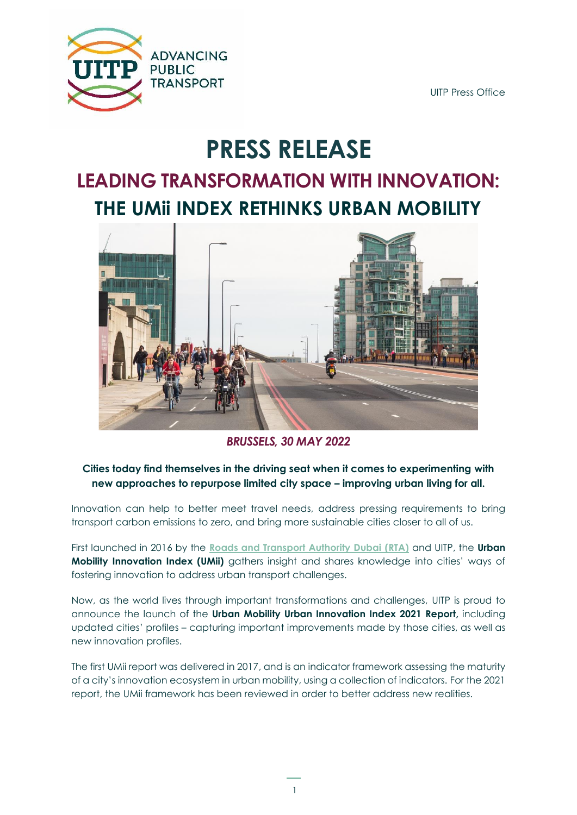

UITP Press Office

# **PRESS RELEASE**

## **LEADING TRANSFORMATION WITH INNOVATION: THE UMii INDEX RETHINKS URBAN MOBILITY**



*BRUSSELS, 30 MAY 2022*

#### **Cities today find themselves in the driving seat when it comes to experimenting with new approaches to repurpose limited city space – improving urban living for all.**

Innovation can help to better meet travel needs, address pressing requirements to bring transport carbon emissions to zero, and bring more sustainable cities closer to all of us.

First launched in 2016 by the **[Roads and Transport Authority Dubai](https://uitpoffice-my.sharepoint.com/personal/scott_shepherd_uitp_org/Documents/KMS/ww.rta.ae) (RTA)** and UITP, the **Urban Mobility Innovation Index (UMii)** gathers insight and shares knowledge into cities' ways of fostering innovation to address urban transport challenges.

Now, as the world lives through important transformations and challenges, UITP is proud to announce the launch of the **Urban Mobility Urban Innovation Index 2021 Report,** including updated cities' profiles – capturing important improvements made by those cities, as well as new innovation profiles.

The first UMii report was delivered in 2017, and is an indicator framework assessing the maturity of a city's innovation ecosystem in urban mobility, using a collection of indicators. For the 2021 report, the UMii framework has been reviewed in order to better address new realities.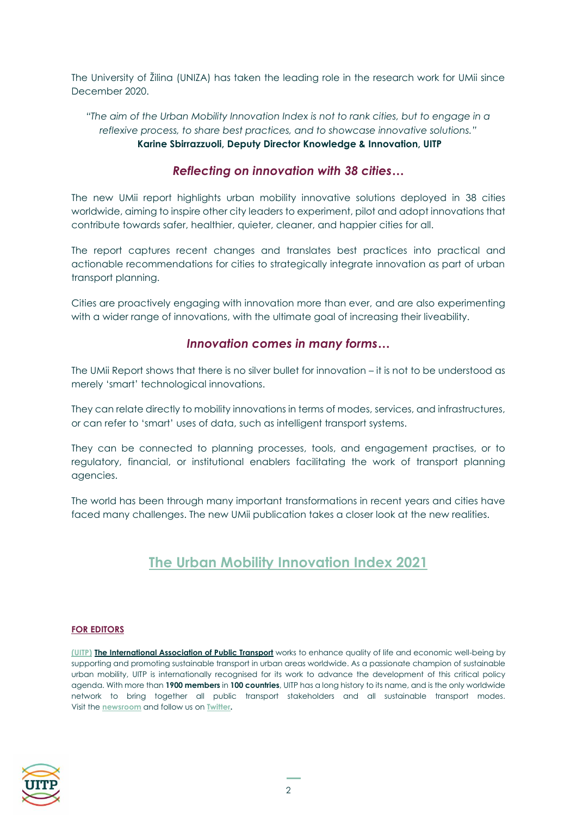The University of Žilina (UNIZA) has taken the leading role in the research work for UMii since December 2020.

*"The aim of the Urban Mobility Innovation Index is not to rank cities, but to engage in a reflexive process, to share best practices, and to showcase innovative solutions."* **Karine Sbirrazzuoli, Deputy Director Knowledge & Innovation, UITP**

#### *Reflecting on innovation with 38 cities…*

The new UMii report highlights urban mobility innovative solutions deployed in 38 cities worldwide, aiming to inspire other city leaders to experiment, pilot and adopt innovations that contribute towards safer, healthier, quieter, cleaner, and happier cities for all.

The report captures recent changes and translates best practices into practical and actionable recommendations for cities to strategically integrate innovation as part of urban transport planning.

Cities are proactively engaging with innovation more than ever, and are also experimenting with a wider range of innovations, with the ultimate goal of increasing their liveability.

#### *Innovation comes in many forms…*

The UMii Report shows that there is no silver bullet for innovation – it is not to be understood as merely 'smart' technological innovations.

They can relate directly to mobility innovations in terms of modes, services, and infrastructures, or can refer to 'smart' uses of data, such as intelligent transport systems.

They can be connected to planning processes, tools, and engagement practises, or to regulatory, financial, or institutional enablers facilitating the work of transport planning agencies.

The world has been through many important transformations in recent years and cities have faced many challenges. The new UMii publication takes a closer look at the new realities.

### **[The Urban Mobility Innovation Index 2021](https://www.uitp.org/publications/urban-mobility-innovation-index-2021/)**

#### **FOR EDITORS**

**[\(UITP\)](http://www.uitp.org/) The International Association of Public Transport** works to enhance quality of life and economic well-being by supporting and promoting sustainable transport in urban areas worldwide. As a passionate champion of sustainable urban mobility, UITP is internationally recognised for its work to advance the development of this critical policy agenda. With more than **1900 members** in **100 countries**, UITP has a long history to its name, and is the only worldwide network to bring together all public transport stakeholders and all sustainable transport modes. Visit the **[newsroom](http://www.uitp.org/news)** and follow us on **[Twitter.](http://www.twitter.com/UITPnews)**